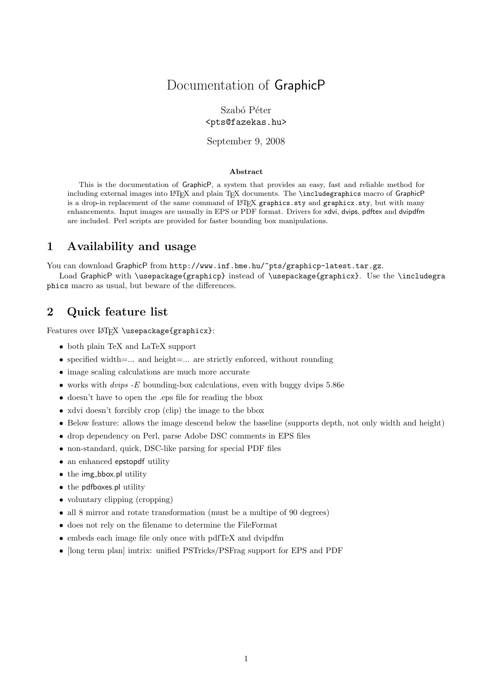## Documentation of GraphicP

### Szabó Péter <pts@fazekas.hu>

### September 9, 2008

#### Abstract

This is the documentation of GraphicP, a system that provides an easy, fast and reliable method for including external images into LATEX and plain TEX documents. The \includegraphics macro of GraphicP is a drop-in replacement of the same command of LATEX graphics.sty and graphicx.sty, but with many enhancements. Input images are ususally in EPS or PDF format. Drivers for xdvi, dvips, pdftex and dvipdfm are included. Perl scripts are provided for faster bounding box manipulations.

## 1 Availability and usage

You can download GraphicP from http://www.inf.bme.hu/~pts/graphicp-latest.tar.gz.

Load GraphicP with \usepackage{graphicp} instead of \usepackage{graphicx}. Use the \includegra phics macro as usual, but beware of the differences.

### 2 Quick feature list

Features over LAT<sub>EX</sub> \usepackage{graphicx}:

- both plain TeX and LaTeX support
- specified width= $\dots$  and height= $\dots$  are strictly enforced, without rounding
- image scaling calculations are much more accurate
- works with  $dvips E$  bounding-box calculations, even with buggy dvips 5.86e
- doesn't have to open the .eps file for reading the bbox
- xdvi doesn't forcibly crop (clip) the image to the bbox
- Below feature: allows the image descend below the baseline (supports depth, not only width and height)
- drop dependency on Perl, parse Adobe DSC comments in EPS files
- non-standard, quick, DSC-like parsing for special PDF files
- an enhanced epstopdf utility
- the img\_bbox.pl utility
- the pdfboxes.pl utility
- voluntary clipping (cropping)
- all 8 mirror and rotate transformation (must be a multipe of 90 degrees)
- does not rely on the filename to determine the FileFormat
- embeds each image file only once with pdfTeX and dvipdfm
- [long term plan] imtrix: unified PSTricks/PSFrag support for EPS and PDF